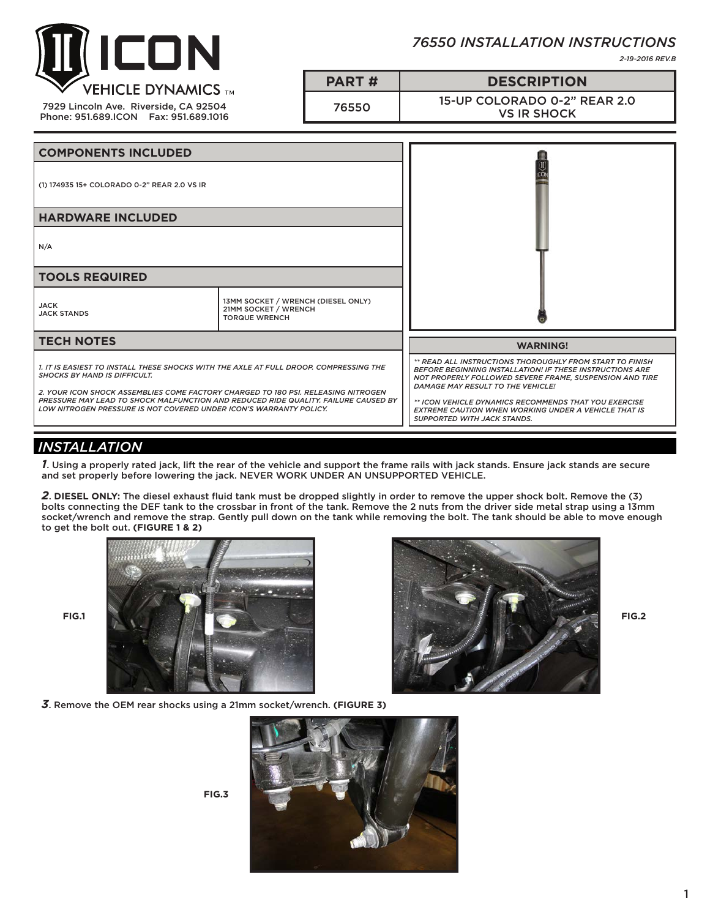

*76550 INSTALLATION INSTRUCTIONS*

*2-19-2016 REV.B*

| <b>VEHICLE DYNAMICS TM</b><br>7929 Lincoln Ave. Riverside, CA 92504<br>Phone: 951.689.ICON   Fax: 951.689.1016 | <b>PART#</b> | <b>DESCRIPTION</b>                                 |
|----------------------------------------------------------------------------------------------------------------|--------------|----------------------------------------------------|
|                                                                                                                | 76550        | 15-UP COLORADO 0-2" REAR 2.0<br><b>VS IR SHOCK</b> |

| <b>COMPONENTS INCLUDED</b>                                                                                                                                                                                                                                                                                                                                                    |                                                                                    |                                                                                                                                                                                                                                                                                                                                                                                                  |
|-------------------------------------------------------------------------------------------------------------------------------------------------------------------------------------------------------------------------------------------------------------------------------------------------------------------------------------------------------------------------------|------------------------------------------------------------------------------------|--------------------------------------------------------------------------------------------------------------------------------------------------------------------------------------------------------------------------------------------------------------------------------------------------------------------------------------------------------------------------------------------------|
| (1) 174935 15+ COLORADO 0-2" REAR 2.0 VS IR                                                                                                                                                                                                                                                                                                                                   |                                                                                    |                                                                                                                                                                                                                                                                                                                                                                                                  |
| <b>HARDWARE INCLUDED</b>                                                                                                                                                                                                                                                                                                                                                      |                                                                                    |                                                                                                                                                                                                                                                                                                                                                                                                  |
| N/A                                                                                                                                                                                                                                                                                                                                                                           |                                                                                    |                                                                                                                                                                                                                                                                                                                                                                                                  |
| <b>TOOLS REQUIRED</b>                                                                                                                                                                                                                                                                                                                                                         |                                                                                    |                                                                                                                                                                                                                                                                                                                                                                                                  |
| <b>JACK</b><br><b>JACK STANDS</b>                                                                                                                                                                                                                                                                                                                                             | 13MM SOCKET / WRENCH (DIESEL ONLY)<br>21MM SOCKET / WRENCH<br><b>TORQUE WRENCH</b> |                                                                                                                                                                                                                                                                                                                                                                                                  |
| <b>TECH NOTES</b>                                                                                                                                                                                                                                                                                                                                                             |                                                                                    | <b>WARNING!</b>                                                                                                                                                                                                                                                                                                                                                                                  |
| 1. IT IS EASIEST TO INSTALL THESE SHOCKS WITH THE AXLE AT FULL DROOP. COMPRESSING THE<br><b>SHOCKS BY HAND IS DIFFICULT.</b><br>2. YOUR ICON SHOCK ASSEMBLIES COME FACTORY CHARGED TO 180 PSI. RELEASING NITROGEN<br>PRESSURE MAY LEAD TO SHOCK MALFUNCTION AND REDUCED RIDE QUALITY. FAILURE CAUSED BY<br>LOW NITROGEN PRESSURE IS NOT COVERED UNDER ICON'S WARRANTY POLICY. |                                                                                    | ** READ ALL INSTRUCTIONS THOROUGHLY FROM START TO FINISH<br><b>BEFORE BEGINNING INSTALLATION! IF THESE INSTRUCTIONS ARE</b><br>NOT PROPERLY FOLLOWED SEVERE FRAME, SUSPENSION AND TIRE<br><b>DAMAGE MAY RESULT TO THE VEHICLE!</b><br>** ICON VEHICLE DYNAMICS RECOMMENDS THAT YOU EXERCISE<br><b>EXTREME CAUTION WHEN WORKING UNDER A VEHICLE THAT IS</b><br><b>SUPPORTED WITH JACK STANDS.</b> |

## *INSTALLATION*

*1*. Using a properly rated jack, lift the rear of the vehicle and support the frame rails with jack stands. Ensure jack stands are secure and set properly before lowering the jack. NEVER WORK UNDER AN UNSUPPORTED VEHICLE.

*2*. **DIESEL ONLY:** The diesel exhaust fluid tank must be dropped slightly in order to remove the upper shock bolt. Remove the (3) bolts connecting the DEF tank to the crossbar in front of the tank. Remove the 2 nuts from the driver side metal strap using a 13mm socket/wrench and remove the strap. Gently pull down on the tank while removing the bolt. The tank should be able to move enough to get the bolt out. **(FIGURE 1 & 2)** 





*3*. Remove the OEM rear shocks using a 21mm socket/wrench. **(FIGURE 3)**



**FIG.3**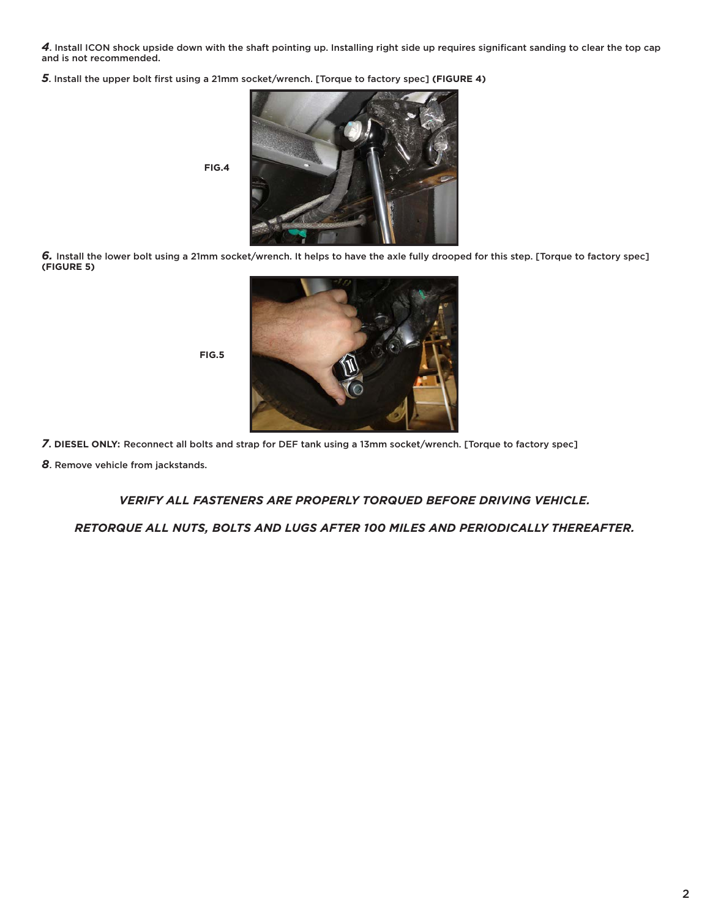*4*. Install ICON shock upside down with the shaft pointing up. Installing right side up requires significant sanding to clear the top cap and is not recommended.

*5*. Install the upper bolt first using a 21mm socket/wrench. [Torque to factory spec] **(FIGURE 4)**



*6.* Install the lower bolt using a 21mm socket/wrench. It helps to have the axle fully drooped for this step. [Torque to factory spec] **(FIGURE 5)**



*7***. DIESEL ONLY:** Reconnect all bolts and strap for DEF tank using a 13mm socket/wrench. [Torque to factory spec]

**FIG.5**

*8*. Remove vehicle from jackstands.

*VERIFY ALL FASTENERS ARE PROPERLY TORQUED BEFORE DRIVING VEHICLE.*

*RETORQUE ALL NUTS, BOLTS AND LUGS AFTER 100 MILES AND PERIODICALLY THEREAFTER.*